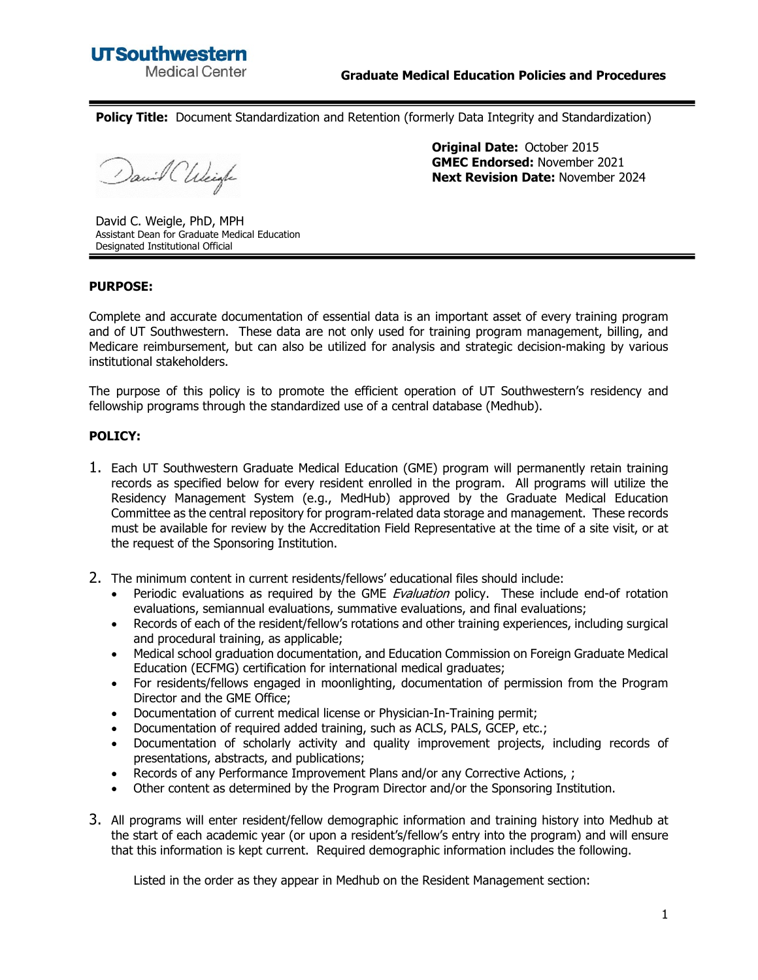**Policy Title:** Document Standardization and Retention (formerly Data Integrity and Standardization)

David CWeigh

**Original Date:** October 2015 **GMEC Endorsed:** November 2021 **Next Revision Date:** November 2024

David C. Weigle, PhD, MPH Assistant Dean for Graduate Medical Education Designated Institutional Official

## **PURPOSE:**

Complete and accurate documentation of essential data is an important asset of every training program and of UT Southwestern. These data are not only used for training program management, billing, and Medicare reimbursement, but can also be utilized for analysis and strategic decision-making by various institutional stakeholders.

The purpose of this policy is to promote the efficient operation of UT Southwestern's residency and fellowship programs through the standardized use of a central database (Medhub).

## **POLICY:**

- 1. Each UT Southwestern Graduate Medical Education (GME) program will permanently retain training records as specified below for every resident enrolled in the program. All programs will utilize the Residency Management System (e.g., MedHub) approved by the Graduate Medical Education Committee as the central repository for program-related data storage and management. These records must be available for review by the Accreditation Field Representative at the time of a site visit, or at the request of the Sponsoring Institution.
- 2. The minimum content in current residents/fellows' educational files should include:
	- Periodic evaluations as required by the GME *Evaluation* policy. These include end-of rotation evaluations, semiannual evaluations, summative evaluations, and final evaluations;
	- Records of each of the resident/fellow's rotations and other training experiences, including surgical and procedural training, as applicable;
	- Medical school graduation documentation, and Education Commission on Foreign Graduate Medical Education (ECFMG) certification for international medical graduates;
	- For residents/fellows engaged in moonlighting, documentation of permission from the Program Director and the GME Office;
	- Documentation of current medical license or Physician-In-Training permit;
	- Documentation of required added training, such as ACLS, PALS, GCEP, etc.;
	- Documentation of scholarly activity and quality improvement projects, including records of presentations, abstracts, and publications;
	- Records of any Performance Improvement Plans and/or any Corrective Actions, ;
	- Other content as determined by the Program Director and/or the Sponsoring Institution.
- 3. All programs will enter resident/fellow demographic information and training history into Medhub at the start of each academic year (or upon a resident's/fellow's entry into the program) and will ensure that this information is kept current. Required demographic information includes the following.

Listed in the order as they appear in Medhub on the Resident Management section: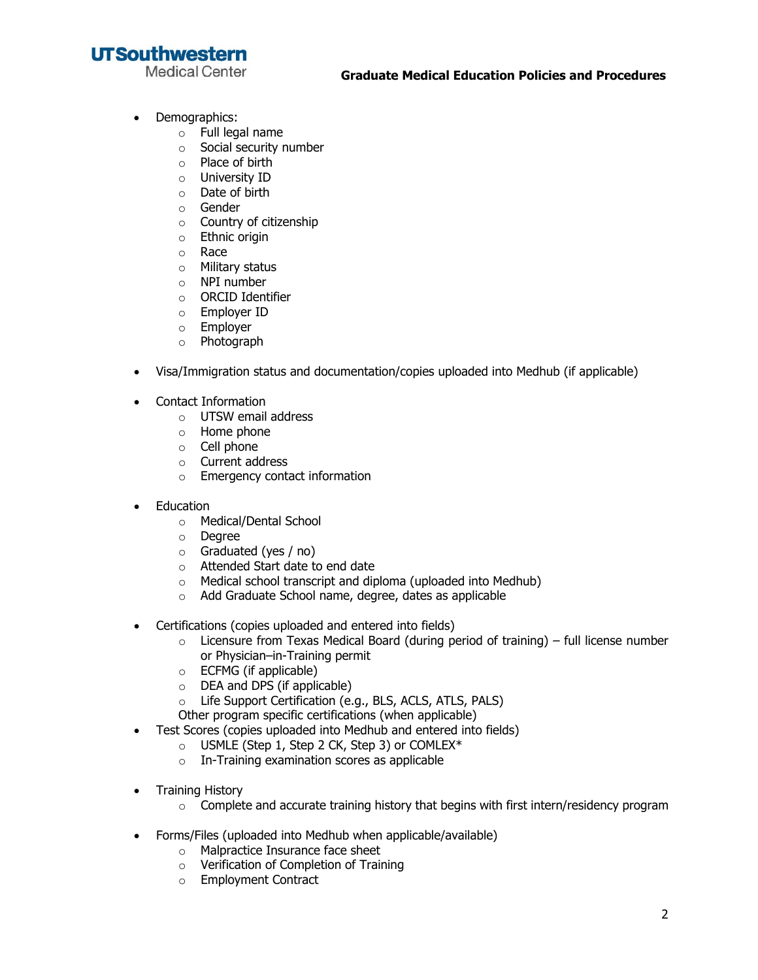## **UTSouthwestern**

**Medical Center** 

- Demographics:
	- o Full legal name
	- o Social security number
	- o Place of birth
	- o University ID
	- o Date of birth
	- o Gender
	- o Country of citizenship
	- o Ethnic origin
	- o Race
	- o Military status
	- o NPI number
	- o ORCID Identifier
	- o Employer ID
	- o Employer
	- o Photograph
- Visa/Immigration status and documentation/copies uploaded into Medhub (if applicable)
- Contact Information
	- o UTSW email address
	- o Home phone
	- o Cell phone
	- o Current address
	- o Emergency contact information
- Education
	- o Medical/Dental School
	- o Degree
	- o Graduated (yes / no)
	- o Attended Start date to end date
	- o Medical school transcript and diploma (uploaded into Medhub)
	- o Add Graduate School name, degree, dates as applicable
- Certifications (copies uploaded and entered into fields)
	- $\circ$  Licensure from Texas Medical Board (during period of training) full license number or Physician–in-Training permit
	- o ECFMG (if applicable)
	- o DEA and DPS (if applicable)
	- o Life Support Certification (e.g., BLS, ACLS, ATLS, PALS)
	- Other program specific certifications (when applicable)
- Test Scores (copies uploaded into Medhub and entered into fields)
	- o USMLE (Step 1, Step 2 CK, Step 3) or COMLEX\*
	- o In-Training examination scores as applicable
- Training History
	- $\circ$  Complete and accurate training history that begins with first intern/residency program
- Forms/Files (uploaded into Medhub when applicable/available)
	- o Malpractice Insurance face sheet
	- o Verification of Completion of Training
	- o Employment Contract